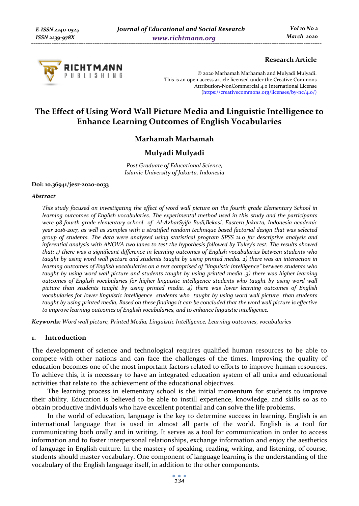

## **Research Article**

© 2020 Marhamah Marhamah and Mulyadi Mulyadi. This is an open access article licensed under the Creative Commons Attribution-NonCommercial 4.0 International License (https://creativecommons.org/licenses/by-nc/4.0/)

# **The Effect of Using Word Wall Picture Media and Linguistic Intelligence to Enhance Learning Outcomes of English Vocabularies**

## **Marhamah Marhamah**

## **Mulyadi Mulyadi**

*Post Graduate of Educational Science, Islamic University of Jakarta, Indonesia* 

#### **Doi: 10.36941/jesr-2020-0033**

#### *Abstract*

*This study focused on investigating the effect of word wall picture on the fourth grade Elementary School in learning outcomes of English vocabularies. The experimental method used in this study and the participants were 98 fourth grade elementary school of Al-AzharSyifa Budi,Bekasi, Eastern Jakarta, Indonesia academic year 2016-2017, as well as samples with a stratified random technique based factorial design that was selected group of students. The data were analyzed using statistical program SPSS 21.0 for descriptive analysis and*  inferential analysis with ANOVA two lanes to test the hypothesis followed by Tukey's test. The results showed *that: 1) there was a significant difference in learning outcomes of English vocabularies between students who taught by using word wall picture and students taught by using printed media. 2) there was an interaction in learning outcomes of English vocabularies on a test comprised of "linguistic intelligence" between students who taught by using word wall picture and students taught by using printed media .3) there was higher learning outcomes of English vocabularies for higher linguistic intelligence students who taught by using word wall picture than students taught by using printed media. 4) there was lower learning outcomes of English vocabularies for lower linguistic intelligence students who taught by using word wall picture than students*  taught by using printed media. Based on these findings it can be concluded that the word wall picture is effective *to improve learning outcomes of English vocabularies, and to enhance linguistic intelligence.* 

*Keywords: Word wall picture, Printed Media, Linguistic Intelligence, Learning outcomes, vocabularies* 

#### **1. Introduction**

The development of science and technological requires qualified human resources to be able to compete with other nations and can face the challenges of the times. Improving the quality of education becomes one of the most important factors related to efforts to improve human resources. To achieve this, it is necessary to have an integrated education system of all units and educational activities that relate to the achievement of the educational objectives.

The learning process in elementary school is the initial momentum for students to improve their ability. Education is believed to be able to instill experience, knowledge, and skills so as to obtain productive individuals who have excellent potential and can solve the life problems.

In the world of education, language is the key to determine success in learning. English is an international language that is used in almost all parts of the world. English is a tool for communicating both orally and in writing. It serves as a tool for communication in order to access information and to foster interpersonal relationships, exchange information and enjoy the aesthetics of language in English culture. In the mastery of speaking, reading, writing, and listening, of course, students should master vocabulary. One component of language learning is the understanding of the vocabulary of the English language itself, in addition to the other components.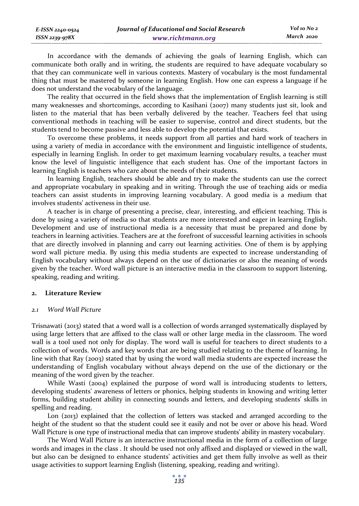In accordance with the demands of achieving the goals of learning English, which can communicate both orally and in writing, the students are required to have adequate vocabulary so that they can communicate well in various contexts. Mastery of vocabulary is the most fundamental thing that must be mastered by someone in learning English. How one can express a language if he does not understand the vocabulary of the language.

The reality that occurred in the field shows that the implementation of English learning is still many weaknesses and shortcomings, according to Kasihani (2007) many students just sit, look and listen to the material that has been verbally delivered by the teacher. Teachers feel that using conventional methods in teaching will be easier to supervise, control and direct students, but the students tend to become passive and less able to develop the potential that exists.

To overcome these problems, it needs support from all parties and hard work of teachers in using a variety of media in accordance with the environment and linguistic intelligence of students, especially in learning English. In order to get maximum learning vocabulary results, a teacher must know the level of linguistic intelligence that each student has. One of the important factors in learning English is teachers who care about the needs of their students.

In learning English, teachers should be able and try to make the students can use the correct and appropriate vocabulary in speaking and in writing. Through the use of teaching aids or media teachers can assist students in improving learning vocabulary. A good media is a medium that involves students' activeness in their use.

A teacher is in charge of presenting a precise, clear, interesting, and efficient teaching. This is done by using a variety of media so that students are more interested and eager in learning English. Development and use of instructional media is a necessity that must be prepared and done by teachers in learning activities. Teachers are at the forefront of successful learning activities in schools that are directly involved in planning and carry out learning activities. One of them is by applying word wall picture media. By using this media students are expected to increase understanding of English vocabulary without always depend on the use of dictionaries or also the meaning of words given by the teacher. Word wall picture is an interactive media in the classroom to support listening, speaking, reading and writing.

#### **2. Literature Review**

*E-ISSN 2240-0524 ISSN 2239-978X*

## *2.1 Word Wall Picture*

Trisnawati (2013) stated that a word wall is a collection of words arranged systematically displayed by using large letters that are affixed to the class wall or other large media in the classroom. The word wall is a tool used not only for display. The word wall is useful for teachers to direct students to a collection of words. Words and key words that are being studied relating to the theme of learning. In line with that Ray (2003) stated that by using the word wall media students are expected increase the understanding of English vocabulary without always depend on the use of the dictionary or the meaning of the word given by the teacher.

While Wasti (2004) explained the purpose of word wall is introducing students to letters, developing students' awareness of letters or phonics, helping students in knowing and writing letter forms, building student ability in connecting sounds and letters, and developing students' skills in spelling and reading.

Lon (2013) explained that the collection of letters was stacked and arranged according to the height of the student so that the student could see it easily and not be over or above his head. Word Wall Picture is one type of instructional media that can improve students' ability in mastery vocabulary.

The Word Wall Picture is an interactive instructional media in the form of a collection of large words and images in the class . It should be used not only affixed and displayed or viewed in the wall, but also can be designed to enhance students' activities and get them fully involve as well as their usage activities to support learning English (listening, speaking, reading and writing).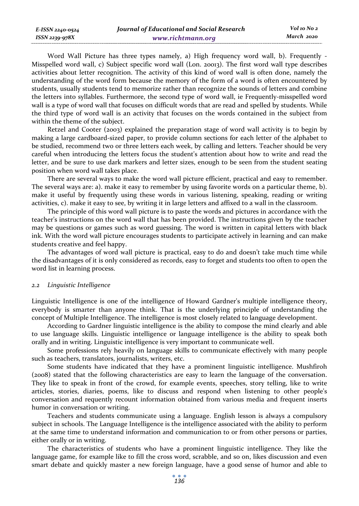Word Wall Picture has three types namely, a) High frequency word wall, b). Frequently - Misspelled word wall, c) Subject specific word wall (Lon. 20013). The first word wall type describes activities about letter recognition. The activity of this kind of word wall is often done, namely the understanding of the word form because the memory of the form of a word is often encountered by students, usually students tend to memorize rather than recognize the sounds of letters and combine the letters into syllables. Furthermore, the second type of word wall, ie Frequently-misspelled word wall is a type of word wall that focuses on difficult words that are read and spelled by students. While the third type of word wall is an activity that focuses on the words contained in the subject from within the theme of the subject.

Retzel and Cooter (2003) explained the preparation stage of word wall activity is to begin by making a large cardboard-sized paper, to provide column sections for each letter of the alphabet to be studied, recommend two or three letters each week, by calling and letters. Teacher should be very careful when introducing the letters focus the student's attention about how to write and read the letter, and be sure to use dark markers and letter sizes, enough to be seen from the student seating position when word wall takes place.

There are several ways to make the word wall picture efficient, practical and easy to remember. The several ways are: a). make it easy to remember by using favorite words on a particular theme, b). make it useful by frequently using these words in various listening, speaking, reading or writing activities, c). make it easy to see, by writing it in large letters and affixed to a wall in the classroom.

The principle of this word wall picture is to paste the words and pictures in accordance with the teacher's instructions on the word wall that has been provided. The instructions given by the teacher may be questions or games such as word guessing. The word is written in capital letters with black ink. With the word wall picture encourages students to participate actively in learning and can make students creative and feel happy.

The advantages of word wall picture is practical, easy to do and doesn't take much time while the disadvantages of it is only considered as records, easy to forget and students too often to open the word list in learning process.

#### *2.2 Linguistic Intelligence*

*E-ISSN 2240-0524 ISSN 2239-978X*

Linguistic Intelligence is one of the intelligence of Howard Gardner's multiple intelligence theory, everybody is smarter than anyone think. That is the underlying principle of understanding the concept of Multiple Intelligence. The intelligence is most closely related to language development.

According to Gardner linguistic intelligence is the ability to compose the mind clearly and able to use language skills. Linguistic intelligence or language intelligence is the ability to speak both orally and in writing. Linguistic intelligence is very important to communicate well.

Some professions rely heavily on language skills to communicate effectively with many people such as teachers, translators, journalists, writers, etc.

Some students have indicated that they have a prominent linguistic intelligence. Mushfiroh (2008) stated that the following characteristics are easy to learn the language of the conversation. They like to speak in front of the crowd, for example events, speeches, story telling, like to write articles, stories, diaries, poems, like to discuss and respond when listening to other people's conversation and requently recount information obtained from various media and frequent inserts humor in conversation or writing.

Teachers and students communicate using a language. English lesson is always a compulsory subject in schools. The Language Intelligence is the intelligence associated with the ability to perform at the same time to understand information and communication to or from other persons or parties, either orally or in writing.

The characteristics of students who have a prominent linguistic intelligence. They like the language game, for example like to fill the cross word, scrabble, and so on, likes discussion and even smart debate and quickly master a new foreign language, have a good sense of humor and able to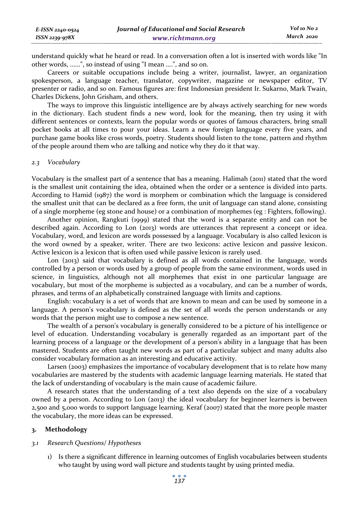| E-ISSN 2240-0524 | Journal of Educational and Social Research | Vol 10 No 2 |
|------------------|--------------------------------------------|-------------|
| ISSN 2239-978X   | www.richtmann.org                          | March 2020  |

understand quickly what he heard or read. In a conversation often a lot is inserted with words like "In other words, ......", so instead of using "I mean ....", and so on.

Careers or suitable occupations include being a writer, journalist, lawyer, an organization spokesperson, a language teacher, translator, copywriter, magazine or newspaper editor, TV presenter or radio, and so on. Famous figures are: first Indonesian president Ir. Sukarno, Mark Twain, Charles Dickens, John Grisham, and others.

The ways to improve this linguistic intelligence are by always actively searching for new words in the dictionary. Each student finds a new word, look for the meaning, then try using it with different sentences or contexts, learn the popular words or quotes of famous characters, bring small pocket books at all times to pour your ideas. Learn a new foreign language every five years, and purchase game books like cross words, poetry. Students should listen to the tone, pattern and rhythm of the people around them who are talking and notice why they do it that way.

#### *2.3 Vocabulary*

Vocabulary is the smallest part of a sentence that has a meaning. Halimah (2011) stated that the word is the smallest unit containing the idea, obtained when the order or a sentence is divided into parts. According to Hamid (1987) the word is morphem or combination which the language is considered the smallest unit that can be declared as a free form, the unit of language can stand alone, consisting of a single morpheme (eg stone and house) or a combination of morphemes (eg : Fighters, following).

Another opinion, Rangkuti (1999) stated that the word is a separate entity and can not be described again. According to Lon (2013) words are utterances that represent a concept or idea. Vocabulary, word, and lexicon are words possessed by a language. Vocabulary is also called lexicon is the word owned by a speaker, writer. There are two lexicons: active lexicon and passive lexicon. Active lexicon is a lexicon that is often used while passive lexicon is rarely used.

Lon (2013) said that vocabulary is defined as all words contained in the language, words controlled by a person or words used by a group of people from the same environment, words used in science, in linguistics, although not all morphemes that exist in one particular language are vocabulary, but most of the morpheme is subjected as a vocabulary, and can be a number of words, phrases, and terms of an alphabetically constrained language with limits and captions.

English: vocabulary is a set of words that are known to mean and can be used by someone in a language. A person's vocabulary is defined as the set of all words the person understands or any words that the person might use to compose a new sentence.

The wealth of a person's vocabulary is generally considered to be a picture of his intelligence or level of education. Understanding vocabulary is generally regarded as an important part of the learning process of a language or the development of a person's ability in a language that has been mastered. Students are often taught new words as part of a particular subject and many adults also consider vocabulary formation as an interesting and educative activity.

Larsen (2003) emphasizes the importance of vocabulary development that is to relate how many vocabularies are mastered by the students with academic language learning materials. He stated that the lack of understanding of vocabulary is the main cause of academic failure.

A research states that the understanding of a text also depends on the size of a vocabulary owned by a person. According to Lon (2013) the ideal vocabulary for beginner learners is between 2,500 and 5,000 words to support language learning. Keraf (2007) stated that the more people master the vocabulary, the more ideas can be expressed.

## **3. Methodology**

#### *3.1 Research Questions/ Hypotheses*

1) Is there a significant difference in learning outcomes of English vocabularies between students who taught by using word wall picture and students taught by using printed media.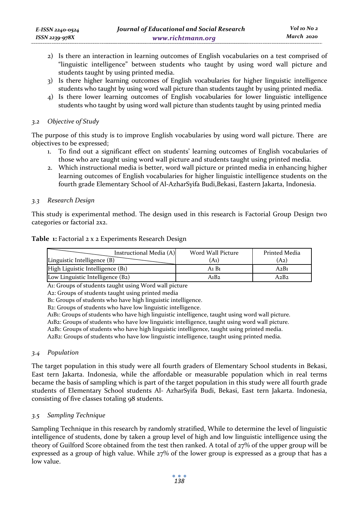- 2) Is there an interaction in learning outcomes of English vocabularies on a test comprised of "linguistic intelligence" between students who taught by using word wall picture and students taught by using printed media.
- 3) Is there higher learning outcomes of English vocabularies for higher linguistic intelligence students who taught by using word wall picture than students taught by using printed media.
- 4) Is there lower learning outcomes of English vocabularies for lower linguistic intelligence students who taught by using word wall picture than students taught by using printed media

## *3.2 Objective of Study*

The purpose of this study is to improve English vocabularies by using word wall picture. There are objectives to be expressed;

- 1. To find out a significant effect on students' learning outcomes of English vocabularies of those who are taught using word wall picture and students taught using printed media.
- 2. Which instructional media is better, word wall picture or printed media in enhancing higher learning outcomes of English vocabularies for higher linguistic intelligence students on the fourth grade Elementary School of Al-AzharSyifa Budi,Bekasi, Eastern Jakarta, Indonesia.

## *3.3 Research Design*

This study is experimental method. The design used in this research is Factorial Group Design two categories or factorial 2x2.

#### **Table 1:** Factorial 2 x 2 Experiments Research Design

| Instructional Media (A)<br>Linguistic Intelligence (B) | Word Wall Picture<br>$(A_1)$  | Printed Media<br>(A <sub>2</sub> ) |
|--------------------------------------------------------|-------------------------------|------------------------------------|
| High Liguistic Intelligence (B1)                       | A <sub>1</sub> B <sub>1</sub> | A2B1                               |
| Low Linguistic Intelligence (B2)                       | $A_1B_2$                      | $A_2B_2$                           |

A1: Groups of students taught using Word wall picture

A2: Groups of students taught using printed media

B1: Groups of students who have high linguistic intelligence.

B2: Groups of students who have low linguistic intelligence.

A1B1: Groups of students who have high linguistic intelligence, taught using word wall picture.

A1B2: Groups of students who have low linguistic intelligence, taught using word wall picture.

A2B1: Groups of students who have high linguistic intelligence, taught using printed media.

A2B2: Groups of students who have low linguistic intelligence, taught using printed media.

#### *3.4 Population*

The target population in this study were all fourth graders of Elementary School students in Bekasi, East tern Jakarta. Indonesia, while the affordable or measurable population which in real terms became the basis of sampling which is part of the target population in this study were all fourth grade students of Elementary School students Al- AzharSyifa Budi, Bekasi, East tern Jakarta. Indonesia, consisting of five classes totaling 98 students.

## *3.5 Sampling Technique*

Sampling Technique in this research by randomly stratified, While to determine the level of linguistic intelligence of students, done by taken a group level of high and low linguistic intelligence using the theory of Guilford Score obtained from the test then ranked. A total of 27% of the upper group will be expressed as a group of high value. While 27% of the lower group is expressed as a group that has a low value.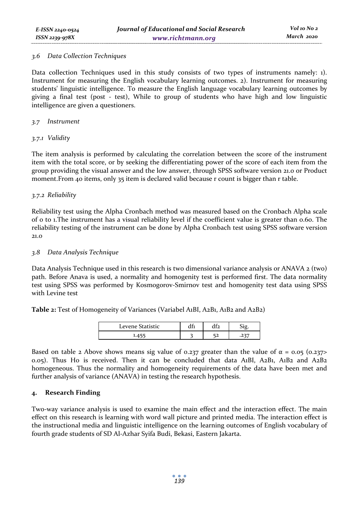### *3.6 Data Collection Techniques*

Data collection Techniques used in this study consists of two types of instruments namely: 1). Instrument for measuring the English vocabulary learning outcomes. 2). Instrument for measuring students' linguistic intelligence. To measure the English language vocabulary learning outcomes by giving a final test (post - test), While to group of students who have high and low linguistic intelligence are given a questioners.

## *3.7 Instrument*

## *3.7.1 Validity*

The item analysis is performed by calculating the correlation between the score of the instrument item with the total score, or by seeking the differentiating power of the score of each item from the group providing the visual answer and the low answer, through SPSS software version 21.0 or Product moment. From 40 items, only 35 item is declared valid because r count is bigger than r table.

## *3.7.2 Reliability*

Reliability test using the Alpha Cronbach method was measured based on the Cronbach Alpha scale of 0 to 1.The instrument has a visual reliability level if the coefficient value is greater than 0.60. The reliability testing of the instrument can be done by Alpha Cronbach test using SPSS software version 21.0

### *3.8 Data Analysis Technique*

Data Analysis Technique used in this research is two dimensional variance analysis or ANAVA 2 (two) path. Before Anava is used, a normality and homogenity test is performed first. The data normality test using SPSS was performed by Kosmogorov-Smirnov test and homogenity test data using SPSS with Levine test

**Table 2:** Test of Homogeneity of Variances (Variabel A1BI, A2B1, A1B2 and A2B2)

| <b>Statistic</b><br>∟evene St | $\cdot$<br>$\mathbf{u}$ |    |  |  |
|-------------------------------|-------------------------|----|--|--|
|                               | ÷                       | -- |  |  |

Based on table 2 Above shows means sig value of 0.237 greater than the value of  $\alpha = 0.05$  (0.237> 0.05). Thus H0 is received. Then it can be concluded that data A1BI, A2B1, A1B2 and A2B2 homogeneous. Thus the normality and homogeneity requirements of the data have been met and further analysis of variance (ANAVA) in testing the research hypothesis.

## **4. Research Finding**

Two-way variance analysis is used to examine the main effect and the interaction effect. The main effect on this research is learning with word wall picture and printed media. The interaction effect is the instructional media and linguistic intelligence on the learning outcomes of English vocabulary of fourth grade students of SD Al-Azhar Syifa Budi, Bekasi, Eastern Jakarta.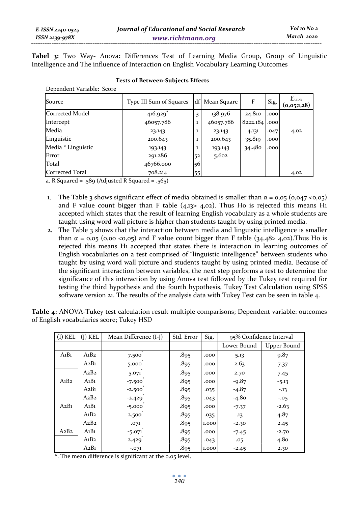**Tabel 3:** Two Way- Anova**:** Differences Test of Learning Media Group, Group of Linguistic Intelligence and The influence of Interaction on English Vocabulary Learning Outcomes

| Dependent variable: Score |                         |              |             |               |      |                            |
|---------------------------|-------------------------|--------------|-------------|---------------|------|----------------------------|
| Source                    | Type III Sum of Squares | df           | Mean Square | F             | Sig. | $E_{table}$<br>(0,05;1,28) |
| Corrected Model           | $416.929$ <sup>a</sup>  | 3            | 138.976     | 24.810        | .000 |                            |
| Intercept                 | 46057.786               | $\mathbf{1}$ | 46057.786   | 8222.184 .000 |      |                            |
| Media                     | 23.143                  | 1            | 23.143      | 4.131         | .047 | 4,02                       |
| Linguistic                | 200.643                 | $\mathbf{1}$ | 200.643     | 35.819        | .000 |                            |
| Media * Linguistic        | 193.143                 | $\mathbf{1}$ | 193.143     | 34.480        | .000 |                            |
| Error                     | 291.286                 | 52           | 5.602       |               |      |                            |
| Total                     | 46766.000               | 56           |             |               |      |                            |
| Corrected Total           | 708.214                 | 55           |             |               |      | 4,02                       |

#### **Tests of Between-Subjects Effects**

a. R Squared = .589 (Adjusted R Squared = .565)

 $\overline{D}$   $\overline{D}$ 

- 1. The Table 3 shows significant effect of media obtained is smaller than  $\alpha = 0.05$  (0,047 <0,05) and F value count bigger than F table  $(4,13)$   $4,02)$ . Thus Ho is rejected this means H<sub>1</sub> accepted which states that the result of learning English vocabulary as a whole students are taught using word wall picture is higher than students taught by using printed media.
- 2. The Table 3 shows that the interaction between media and linguistic intelligence is smaller than  $\alpha = 0.05$  (0.00 <0.05) and F value count bigger than F table (34,48> 4.02). Thus Ho is rejected this means H1 accepted that states there is interaction in learning outcomes of English vocabularies on a test comprised of "linguistic intelligence" between students who taught by using word wall picture and students taught by using printed media. Because of the significant interaction between variables, the next step performs a test to determine the significance of this interaction by using Anova test followed by the Tukey test required for testing the third hypothesis and the fourth hypothesis, Tukey Test Calculation using SPSS software version 21. The results of the analysis data with Tukey Test can be seen in table 4.

**Table 4:** ANOVA-Tukey test calculation result multiple comparisons; Dependent variable: outcomes of English vocabularies score; Tukey HSD

| $(I)$ KEL                     | $(I)$ KEL                     | Mean Difference (I-J) | Std. Error | Sig.  | 95% Confidence Interval |                  |  |
|-------------------------------|-------------------------------|-----------------------|------------|-------|-------------------------|------------------|--|
|                               |                               |                       |            |       | Lower Bound             | Upper Bound      |  |
| $A_1B_1$                      | A <sub>1</sub> B <sub>2</sub> | $\star$<br>7.500      | .895       | .000  | 5.13                    | 9.87             |  |
|                               | A2B1                          | 5.000                 | .895       | .000  | 2.63                    | 7.37             |  |
|                               | A2B2                          | 5.071                 | .895       | .000  | 2.70                    | 7.45             |  |
| A <sub>1</sub> B <sub>2</sub> | $A_1B_1$                      | $-7.500$              | .895       | .000  | $-9.87$                 | $-5.13$          |  |
|                               | A2B1                          | $-2.500$              | .895       | .035  | $-4.87$                 | $-.13$           |  |
|                               | A2B2                          | $-2.429$              | .895       | .043  | $-4.80$                 | $-.05$           |  |
| A2B1                          | $A_1B_1$                      | $-5.000$              | .895       | .000  | $-7.37$                 | $-2.63$          |  |
|                               | A <sub>1</sub> B <sub>2</sub> | 2.500                 | .895       | .035  | .13                     | 4.87             |  |
|                               | A2B2                          | .071                  | .895       | 1.000 | $-2.30$                 | 2.45             |  |
| A2B2                          | $A_1B_1$                      | $-5.071$              | .895       | .000  | $-7.45$                 | $-2.70$          |  |
|                               | A <sub>1</sub> B <sub>2</sub> | 2.429                 | .895       | .043  | .05                     | 4.8 <sub>0</sub> |  |
|                               | A2B1                          | $-.071$               | .895       | 1.000 | $-2.45$                 | 2.30             |  |

\*. The mean difference is significant at the 0.05 level.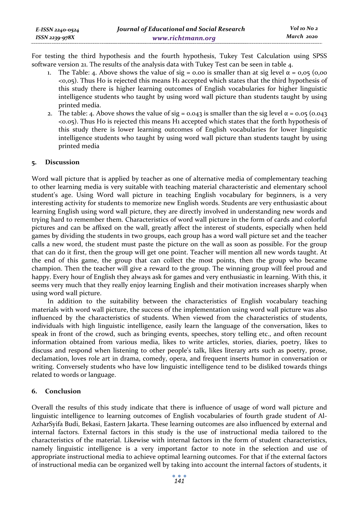For testing the third hypothesis and the fourth hypothesis, Tukey Test Calculation using SPSS software version 21. The results of the analysis data with Tukey Test can be seen in table 4.

- 1. The Table: 4. Above shows the value of sig = 0.00 is smaller than at sig level  $\alpha$  = 0,05 (0,00 <0,05). Thus H0 is rejected this means H1 accepted which states that the third hypothesis of this study there is higher learning outcomes of English vocabularies for higher linguistic intelligence students who taught by using word wall picture than students taught by using printed media.
- 2. The table: 4. Above shows the value of sig = 0.043 is smaller than the sig level  $\alpha$  = 0.05 (0.043) <0.05). Thus H0 is rejected this means H1 accepted which states that the forth hypothesis of this study there is lower learning outcomes of English vocabularies for lower linguistic intelligence students who taught by using word wall picture than students taught by using printed media

## **5. Discussion**

Word wall picture that is applied by teacher as one of alternative media of complementary teaching to other learning media is very suitable with teaching material characteristic and elementary school student's age. Using Word wall picture in teaching English vocabulary for beginners, is a very interesting activity for students to memorize new English words. Students are very enthusiastic about learning English using word wall picture, they are directly involved in understanding new words and trying hard to remember them. Characteristics of word wall picture in the form of cards and colorful pictures and can be affixed on the wall, greatly affect the interest of students, especially when held games by dividing the students in two groups, each group has a word wall picture set and the teacher calls a new word, the student must paste the picture on the wall as soon as possible. For the group that can do it first, then the group will get one point. Teacher will mention all new words taught. At the end of this game, the group that can collect the most points, then the group who became champion. Then the teacher will give a reward to the group. The winning group will feel proud and happy. Every hour of English they always ask for games and very enthusiastic in learning. With this, it seems very much that they really enjoy learning English and their motivation increases sharply when using word wall picture.

In addition to the suitability between the characteristics of English vocabulary teaching materials with word wall picture, the success of the implementation using word wall picture was also influenced by the characteristics of students. When viewed from the characteristics of students, individuals with high linguistic intelligence, easily learn the language of the conversation, likes to speak in front of the crowd, such as bringing events, speeches, story telling etc., and often recount information obtained from various media, likes to write articles, stories, diaries, poetry, likes to discuss and respond when listening to other people's talk, likes literary arts such as poetry, prose, declamation, loves role art in drama, comedy, opera, and frequent inserts humor in conversation or writing. Conversely students who have low linguistic intelligence tend to be disliked towards things related to words or language.

## **6. Conclusion**

Overall the results of this study indicate that there is influence of usage of word wall picture and linguistic intelligence to learning outcomes of English vocabularies of fourth grade student of Al-AzharSyifa Budi, Bekasi, Eastern Jakarta. These learning outcomes are also influenced by external and internal factors. External factors in this study is the use of instructional media tailored to the characteristics of the material. Likewise with internal factors in the form of student characteristics, namely linguistic intelligence is a very important factor to note in the selection and use of appropriate instructional media to achieve optimal learning outcomes. For that if the external factors of instructional media can be organized well by taking into account the internal factors of students, it